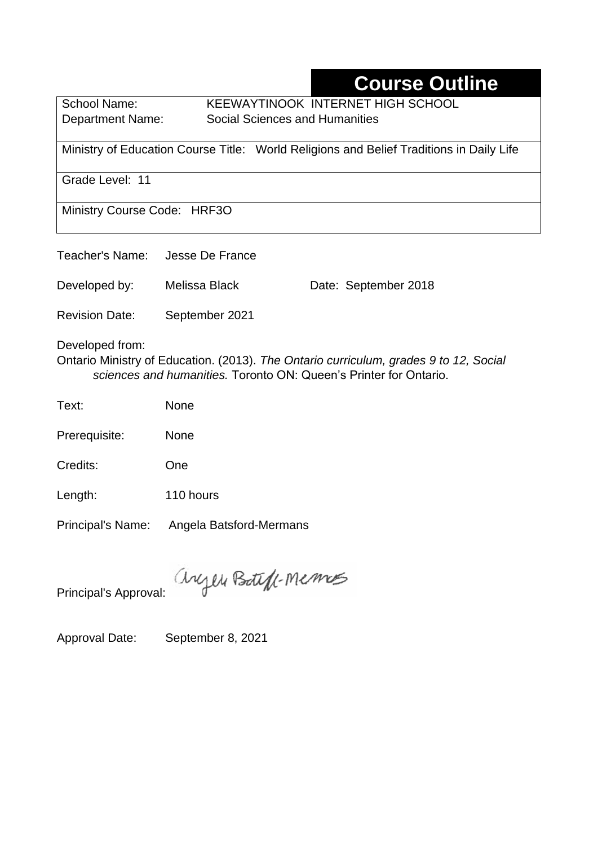# **Course Outline**

School Name: KEEWAYTINOOK INTERNET HIGH SCHOOL Department Name:Social Sciences and Humanities

Ministry of Education Course Title:World Religions and Belief Traditions in Daily Life

Grade Level: 11

Ministry Course Code: HRF3O

| Teacher's Name:       | Jesse De France |                      |
|-----------------------|-----------------|----------------------|
| Developed by:         | Melissa Black   | Date: September 2018 |
| <b>Revision Date:</b> | September 2021  |                      |

Developed from:

Ontario Ministry of Education. (2013). *The Ontario curriculum, grades 9 to 12, Social sciences and humanities.* Toronto ON: Queen's Printer for Ontario.

Text: None

Prerequisite: None

Credits: One

Length: 110 hours

Principal's Name: Angela Batsford-Mermans

anyen Boteff-Memos

Principal's Approval:

Approval Date: September 8, 2021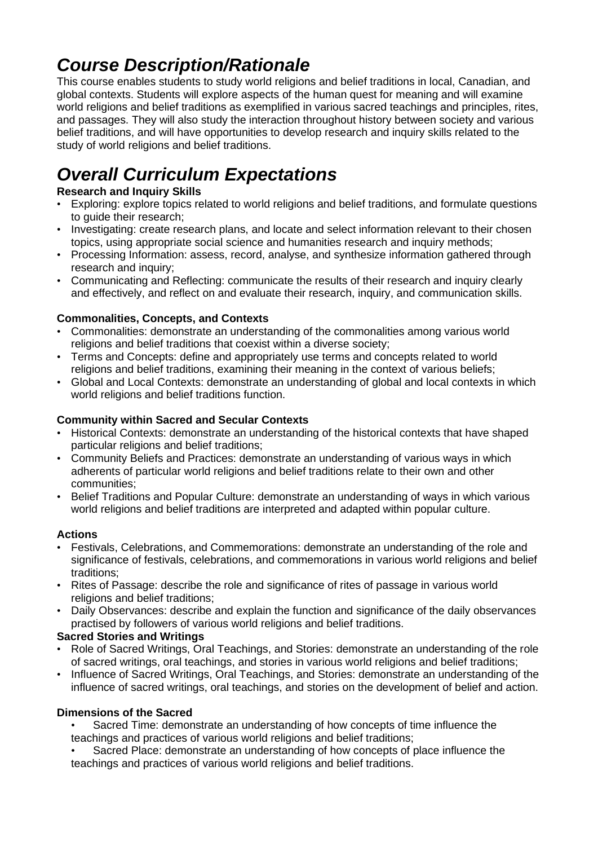# *Course Description/Rationale*

This course enables students to study world religions and belief traditions in local, Canadian, and global contexts. Students will explore aspects of the human quest for meaning and will examine world religions and belief traditions as exemplified in various sacred teachings and principles, rites, and passages. They will also study the interaction throughout history between society and various belief traditions, and will have opportunities to develop research and inquiry skills related to the study of world religions and belief traditions.

# *Overall Curriculum Expectations*

#### **Research and Inquiry Skills**

- Exploring: explore topics related to world religions and belief traditions, and formulate questions to quide their research:
- Investigating: create research plans, and locate and select information relevant to their chosen topics, using appropriate social science and humanities research and inquiry methods;
- Processing Information: assess, record, analyse, and synthesize information gathered through research and inquiry;
- Communicating and Reflecting: communicate the results of their research and inquiry clearly and effectively, and reflect on and evaluate their research, inquiry, and communication skills.

#### **Commonalities, Concepts, and Contexts**

- Commonalities: demonstrate an understanding of the commonalities among various world religions and belief traditions that coexist within a diverse society;
- Terms and Concepts: define and appropriately use terms and concepts related to world religions and belief traditions, examining their meaning in the context of various beliefs;
- Global and Local Contexts: demonstrate an understanding of global and local contexts in which world religions and belief traditions function.

#### **Community within Sacred and Secular Contexts**

- Historical Contexts: demonstrate an understanding of the historical contexts that have shaped particular religions and belief traditions;
- Community Beliefs and Practices: demonstrate an understanding of various ways in which adherents of particular world religions and belief traditions relate to their own and other communities;
- Belief Traditions and Popular Culture: demonstrate an understanding of ways in which various world religions and belief traditions are interpreted and adapted within popular culture.

#### **Actions**

- Festivals, Celebrations, and Commemorations: demonstrate an understanding of the role and significance of festivals, celebrations, and commemorations in various world religions and belief traditions;
- Rites of Passage: describe the role and significance of rites of passage in various world religions and belief traditions;
- Daily Observances: describe and explain the function and significance of the daily observances practised by followers of various world religions and belief traditions.

#### **Sacred Stories and Writings**

- Role of Sacred Writings, Oral Teachings, and Stories: demonstrate an understanding of the role of sacred writings, oral teachings, and stories in various world religions and belief traditions;
- Influence of Sacred Writings, Oral Teachings, and Stories: demonstrate an understanding of the influence of sacred writings, oral teachings, and stories on the development of belief and action.

#### **Dimensions of the Sacred**

• Sacred Time: demonstrate an understanding of how concepts of time influence the teachings and practices of various world religions and belief traditions;

• Sacred Place: demonstrate an understanding of how concepts of place influence the teachings and practices of various world religions and belief traditions.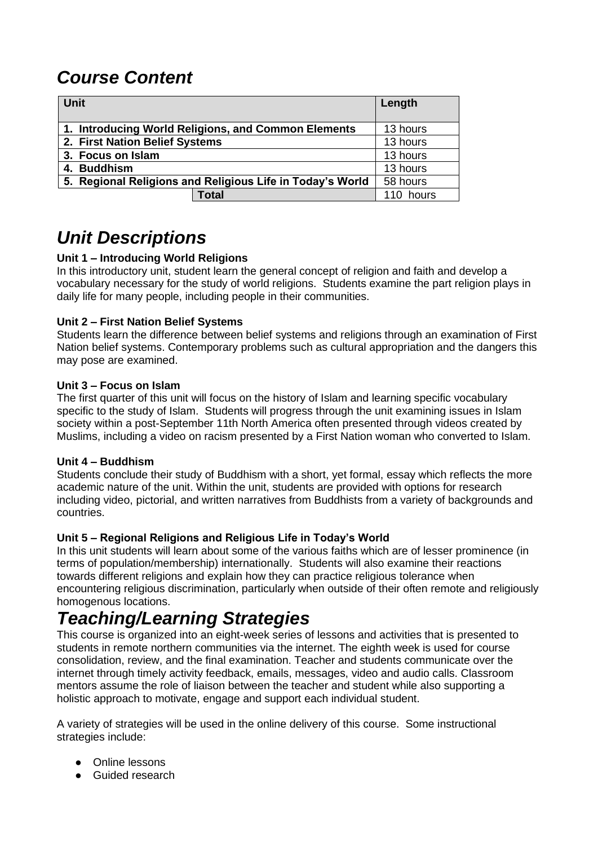# *Course Content*

| <b>Unit</b>                                               |                                                     | Length    |
|-----------------------------------------------------------|-----------------------------------------------------|-----------|
|                                                           | 1. Introducing World Religions, and Common Elements | 13 hours  |
| 2. First Nation Belief Systems                            |                                                     | 13 hours  |
| 3. Focus on Islam                                         |                                                     | 13 hours  |
| 4. Buddhism                                               |                                                     | 13 hours  |
| 5. Regional Religions and Religious Life in Today's World |                                                     | 58 hours  |
|                                                           | <b>Total</b>                                        | 110 hours |

## *Unit Descriptions*

#### **Unit 1 – Introducing World Religions**

In this introductory unit, student learn the general concept of religion and faith and develop a vocabulary necessary for the study of world religions. Students examine the part religion plays in daily life for many people, including people in their communities.

#### **Unit 2 – First Nation Belief Systems**

Students learn the difference between belief systems and religions through an examination of First Nation belief systems. Contemporary problems such as cultural appropriation and the dangers this may pose are examined.

#### **Unit 3 – Focus on Islam**

The first quarter of this unit will focus on the history of Islam and learning specific vocabulary specific to the study of Islam. Students will progress through the unit examining issues in Islam society within a post-September 11th North America often presented through videos created by Muslims, including a video on racism presented by a First Nation woman who converted to Islam.

#### **Unit 4 – Buddhism**

Students conclude their study of Buddhism with a short, yet formal, essay which reflects the more academic nature of the unit. Within the unit, students are provided with options for research including video, pictorial, and written narratives from Buddhists from a variety of backgrounds and countries.

#### **Unit 5 – Regional Religions and Religious Life in Today's World**

In this unit students will learn about some of the various faiths which are of lesser prominence (in terms of population/membership) internationally. Students will also examine their reactions towards different religions and explain how they can practice religious tolerance when encountering religious discrimination, particularly when outside of their often remote and religiously homogenous locations.

### *Teaching/Learning Strategies*

This course is organized into an eight-week series of lessons and activities that is presented to students in remote northern communities via the internet. The eighth week is used for course consolidation, review, and the final examination. Teacher and students communicate over the internet through timely activity feedback, emails, messages, video and audio calls. Classroom mentors assume the role of liaison between the teacher and student while also supporting a holistic approach to motivate, engage and support each individual student.

A variety of strategies will be used in the online delivery of this course. Some instructional strategies include:

- Online lessons
- Guided research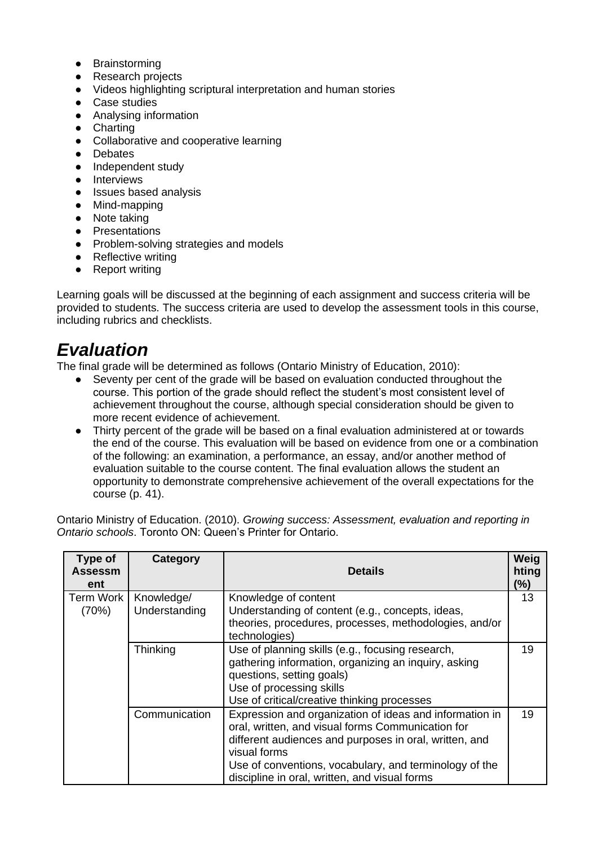- Brainstorming
- **Research projects**
- Videos highlighting scriptural interpretation and human stories
- Case studies
- Analysing information
- Charting
- Collaborative and cooperative learning
- Debates
- Independent study
- Interviews
- Issues based analysis
- Mind-mapping
- Note taking
- Presentations
- Problem-solving strategies and models
- Reflective writing
- Report writing

Learning goals will be discussed at the beginning of each assignment and success criteria will be provided to students. The success criteria are used to develop the assessment tools in this course, including rubrics and checklists.

### *Evaluation*

The final grade will be determined as follows (Ontario Ministry of Education, 2010):

- Seventy per cent of the grade will be based on evaluation conducted throughout the course. This portion of the grade should reflect the student's most consistent level of achievement throughout the course, although special consideration should be given to more recent evidence of achievement.
- Thirty percent of the grade will be based on a final evaluation administered at or towards the end of the course. This evaluation will be based on evidence from one or a combination of the following: an examination, a performance, an essay, and/or another method of evaluation suitable to the course content. The final evaluation allows the student an opportunity to demonstrate comprehensive achievement of the overall expectations for the course (p. 41).

Ontario Ministry of Education. (2010). *Growing success: Assessment, evaluation and reporting in Ontario schools*. Toronto ON: Queen's Printer for Ontario.

| Type of<br>Assessm<br>ent | Category                    | <b>Details</b>                                                                                                                                                                                                                                                                                    | Weig<br>hting<br>$(\%)$ |
|---------------------------|-----------------------------|---------------------------------------------------------------------------------------------------------------------------------------------------------------------------------------------------------------------------------------------------------------------------------------------------|-------------------------|
| <b>Term Work</b><br>(70%) | Knowledge/<br>Understanding | Knowledge of content<br>Understanding of content (e.g., concepts, ideas,<br>theories, procedures, processes, methodologies, and/or                                                                                                                                                                | 13                      |
|                           | Thinking                    | technologies)<br>Use of planning skills (e.g., focusing research,<br>gathering information, organizing an inquiry, asking<br>questions, setting goals)<br>Use of processing skills<br>Use of critical/creative thinking processes                                                                 | 19                      |
|                           | Communication               | Expression and organization of ideas and information in<br>oral, written, and visual forms Communication for<br>different audiences and purposes in oral, written, and<br>visual forms<br>Use of conventions, vocabulary, and terminology of the<br>discipline in oral, written, and visual forms | 19                      |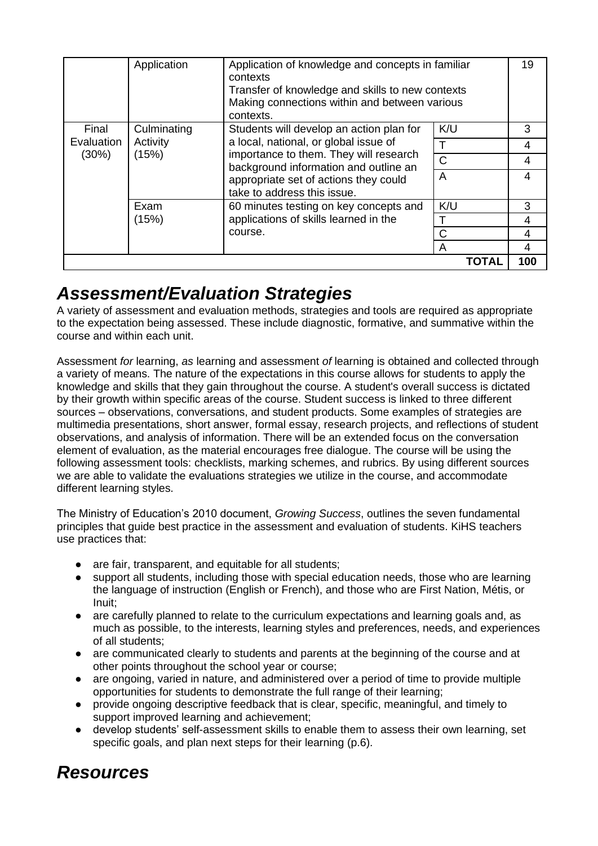| Final<br>Evaluation<br>$(30\%)$ | Culminating<br>Activity<br>(15%) | Students will develop an action plan for<br>a local, national, or global issue of<br>importance to them. They will research<br>background information and outline an<br>appropriate set of actions they could<br>take to address this issue. | K/U<br>$\top$  | 3<br>4 |
|---------------------------------|----------------------------------|----------------------------------------------------------------------------------------------------------------------------------------------------------------------------------------------------------------------------------------------|----------------|--------|
|                                 |                                  |                                                                                                                                                                                                                                              | $\mathsf{C}$   | 4      |
|                                 |                                  |                                                                                                                                                                                                                                              | $\overline{A}$ | 4      |
|                                 | Exam<br>(15%)                    | 60 minutes testing on key concepts and<br>applications of skills learned in the<br>course.                                                                                                                                                   | K/U            | 3      |
|                                 |                                  |                                                                                                                                                                                                                                              |                | 4      |
|                                 |                                  |                                                                                                                                                                                                                                              | $\mathsf{C}$   | 4      |
|                                 |                                  |                                                                                                                                                                                                                                              | A              | 4      |
|                                 |                                  |                                                                                                                                                                                                                                              | ΤΟΤΑΙ          | 100    |

### *Assessment/Evaluation Strategies*

A variety of assessment and evaluation methods, strategies and tools are required as appropriate to the expectation being assessed. These include diagnostic, formative, and summative within the course and within each unit.

Assessment *for* learning, *as* learning and assessment *of* learning is obtained and collected through a variety of means. The nature of the expectations in this course allows for students to apply the knowledge and skills that they gain throughout the course. A student's overall success is dictated by their growth within specific areas of the course. Student success is linked to three different sources – observations, conversations, and student products. Some examples of strategies are multimedia presentations, short answer, formal essay, research projects, and reflections of student observations, and analysis of information. There will be an extended focus on the conversation element of evaluation, as the material encourages free dialogue. The course will be using the following assessment tools: checklists, marking schemes, and rubrics. By using different sources we are able to validate the evaluations strategies we utilize in the course, and accommodate different learning styles.

The Ministry of Education's 2010 document, *Growing Success*, outlines the seven fundamental principles that guide best practice in the assessment and evaluation of students. KiHS teachers use practices that:

- are fair, transparent, and equitable for all students;
- support all students, including those with special education needs, those who are learning the language of instruction (English or French), and those who are First Nation, Métis, or Inuit;
- are carefully planned to relate to the curriculum expectations and learning goals and, as much as possible, to the interests, learning styles and preferences, needs, and experiences of all students;
- are communicated clearly to students and parents at the beginning of the course and at other points throughout the school year or course;
- are ongoing, varied in nature, and administered over a period of time to provide multiple opportunities for students to demonstrate the full range of their learning;
- provide ongoing descriptive feedback that is clear, specific, meaningful, and timely to support improved learning and achievement;
- develop students' self-assessment skills to enable them to assess their own learning, set specific goals, and plan next steps for their learning (p.6).

## *Resources*